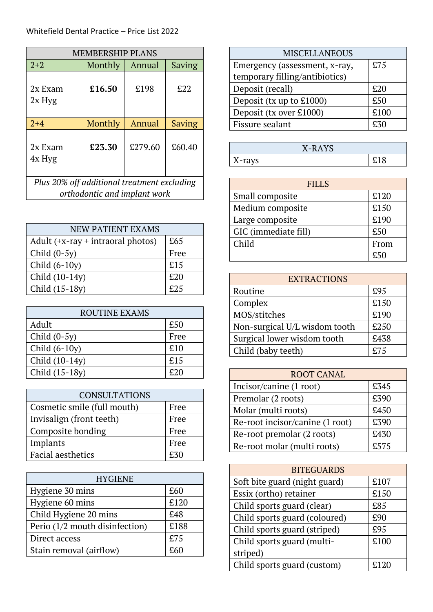| <b>MEMBERSHIP PLANS</b>                     |         |         |        |
|---------------------------------------------|---------|---------|--------|
| $2 + 2$                                     | Monthly | Annual  | Saving |
| 2x Exam<br>$2x$ Hyg                         | £16.50  | £198    | £22    |
| $2 + 4$                                     | Monthly | Annual  | Saving |
| 2x Exam<br>4x Hyg                           | £23.30  | £279.60 | £60.40 |
| Plus 20% off additional treatment excluding |         |         |        |
| orthodontic and implant work                |         |         |        |

| <b>NEW PATIENT EXAMS</b>            |      |
|-------------------------------------|------|
| Adult $(+x-ray + intraoral photos)$ | £65  |
| Child $(0-5y)$                      | Free |
| Child $(6-10y)$                     | £15  |
| Child (10-14y)                      | £20  |
| Child (15-18y)                      | £25  |

| <b>ROUTINE EXAMS</b> |      |
|----------------------|------|
| Adult                | £50  |
| Child $(0-5y)$       | Free |
| Child $(6-10y)$      | £10  |
| Child (10-14y)       | £15  |
| Child (15-18y)       | £20  |

| <b>CONSULTATIONS</b>        |      |
|-----------------------------|------|
| Cosmetic smile (full mouth) | Free |
| Invisalign (front teeth)    | Free |
| Composite bonding           | Free |
| Implants                    | Free |
| <b>Facial aesthetics</b>    | £30  |

| <b>HYGIENE</b>                 |      |
|--------------------------------|------|
| Hygiene 30 mins                | £60  |
| Hygiene 60 mins                | £120 |
| Child Hygiene 20 mins          | £48  |
| Perio (1/2 mouth disinfection) | £188 |
| Direct access                  | £75  |
| Stain removal (airflow)        | £60  |

| <b>MISCELLANEOUS</b>           |      |
|--------------------------------|------|
| Emergency (assessment, x-ray,  | £75  |
| temporary filling/antibiotics) |      |
| Deposit (recall)               | £20  |
| Deposit (tx up to £1000)       | £50  |
| Deposit (tx over £1000)        | £100 |
| Fissure sealant                | E30  |

| X-RAYS |  |
|--------|--|
| X-rays |  |

| <b>FILLS</b>         |      |  |
|----------------------|------|--|
| Small composite      | £120 |  |
| Medium composite     | £150 |  |
| Large composite      | £190 |  |
| GIC (immediate fill) | £50  |  |
| Child                | From |  |
|                      | F50  |  |

| <b>EXTRACTIONS</b>            |      |  |
|-------------------------------|------|--|
| Routine                       | £95  |  |
| Complex                       | £150 |  |
| MOS/stitches                  | £190 |  |
| Non-surgical U/L wisdom tooth | £250 |  |
| Surgical lower wisdom tooth   | £438 |  |
| Child (baby teeth)            | f.75 |  |

| <b>ROOT CANAL</b>               |      |
|---------------------------------|------|
| Incisor/canine (1 root)         | £345 |
| Premolar (2 roots)              | £390 |
| Molar (multi roots)             | £450 |
| Re-root incisor/canine (1 root) | £390 |
| Re-root premolar (2 roots)      | £430 |
| Re-root molar (multi roots)     | £575 |

| <b>BITEGUARDS</b>             |      |  |
|-------------------------------|------|--|
| Soft bite guard (night guard) | £107 |  |
| Essix (ortho) retainer        | £150 |  |
| Child sports guard (clear)    | £85  |  |
| Child sports guard (coloured) | £90  |  |
| Child sports guard (striped)  | £95  |  |
| Child sports guard (multi-    | £100 |  |
| striped)                      |      |  |
| Child sports guard (custom)   |      |  |